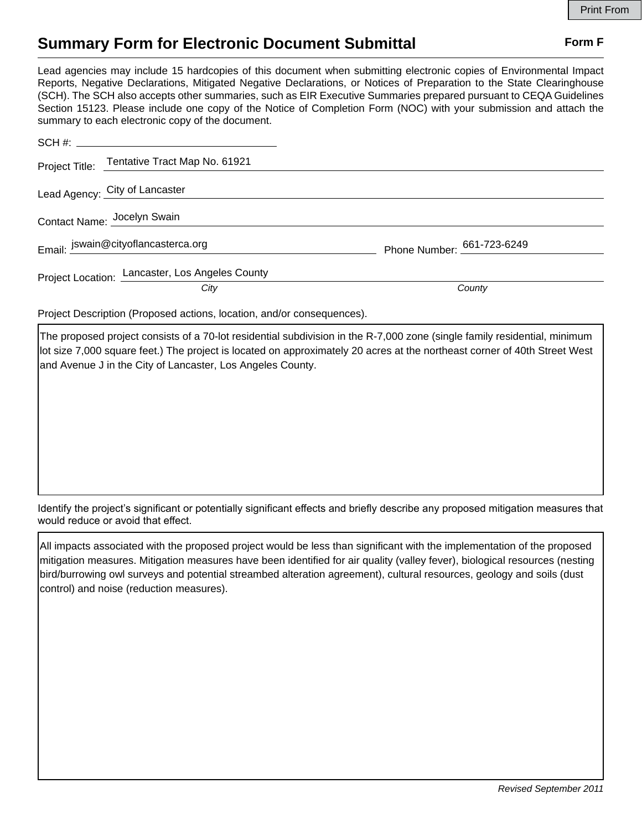## **Summary Form for Electronic Document Submittal Form F Form F**

Lead agencies may include 15 hardcopies of this document when submitting electronic copies of Environmental Impact Reports, Negative Declarations, Mitigated Negative Declarations, or Notices of Preparation to the State Clearinghouse (SCH). The SCH also accepts other summaries, such as EIR Executive Summaries prepared pursuant to CEQA Guidelines Section 15123. Please include one copy of the Notice of Completion Form (NOC) with your submission and attach the summary to each electronic copy of the document.

|                             | Project Title: Tentative Tract Map No. 61921    |                              |
|-----------------------------|-------------------------------------------------|------------------------------|
|                             | Lead Agency: City of Lancaster                  |                              |
| Contact Name: Jocelyn Swain |                                                 |                              |
|                             | Email: jswain@cityoflancasterca.org             | Phone Number: $661-723-6249$ |
|                             | Project Location: Lancaster, Los Angeles County |                              |
|                             | City                                            | County                       |

Project Description (Proposed actions, location, and/or consequences).

The proposed project consists of a 70-lot residential subdivision in the R-7,000 zone (single family residential, minimum lot size 7,000 square feet.) The project is located on approximately 20 acres at the northeast corner of 40th Street West and Avenue J in the City of Lancaster, Los Angeles County.

Identify the project's significant or potentially significant effects and briefly describe any proposed mitigation measures that would reduce or avoid that effect.

All impacts associated with the proposed project would be less than significant with the implementation of the proposed mitigation measures. Mitigation measures have been identified for air quality (valley fever), biological resources (nesting bird/burrowing owl surveys and potential streambed alteration agreement), cultural resources, geology and soils (dust control) and noise (reduction measures).